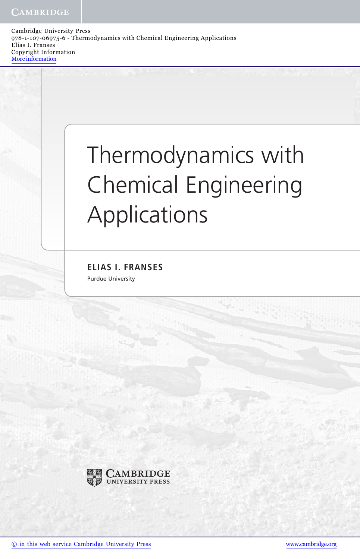Cambridge University Press 978-1-107-06975-6 - Thermodynamics with Chemical Engineering Applications Elias I. Franses Copyright Information More information

## Thermodynamics with Chemical Engineering Applications

ELIAS I. FRANSES Purdue University